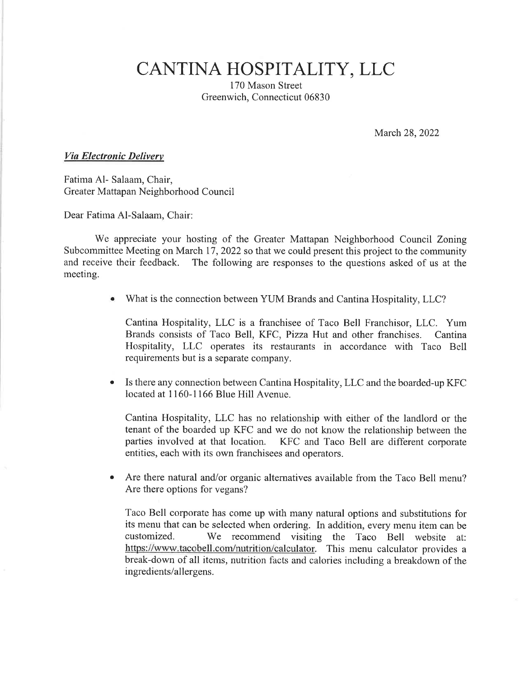CANTINA HOSPITALITY, LLC

170 Mason Street Greenwich, Connecticut 06830

March 28,2022

## Via Electronic Delivery

Fatima Al- Salaam, Chair, Greater Mattapan Neighborhood Council

Dear Fatima Al-Salaam, Chair:

We appreciate your hosting of the Greater Mattapan Neighborhood Council Zoning Subcommittee Meeting on March 17, 2022 so that we could present this project to the community and receive their feedback. The following are responses to the questions asked of us at the meeting.

What is the connection between YUM Brands and Cantina Hospitality, LLC?

Cantina Hospitality, LLC is a franchisee of Taco Bell Franchisor, LLC. Yum Brands consists of Taco Bell, KFC, Pizza Hut and other franchises. Cantina Hospitality, LLC operates its restaurants in accordance with Taco Bell requirements but is a separate company.

a Is there any connection between Cantina Hospitality,LLC and the boarded-up KFC located at 1160-1166 Blue Hill Avenue.

Cantina Hospitality, LLC has no relationship with either of the landlord or the tenant of the boarded up KFC and we do not know the relationship between the parties involved at that location. KFC and Taco Bell are different corporate entities, each with its own franchisees and operators.

• Are there natural and/or organic alternatives available from the Taco Bell menu? Are there options for vegans?

Taco Bell corporate has come up with many natural options and substitutions for its menu that can be selected when ordering. In addition, every menu item can be customized. We recommend visiting the Taco Bell website at: https://www.tacobell.com/nutrition/calculator. This menu calculator provides a break-down of all items, nutrition facts and calories including a breakdown of the ingredients/allergens.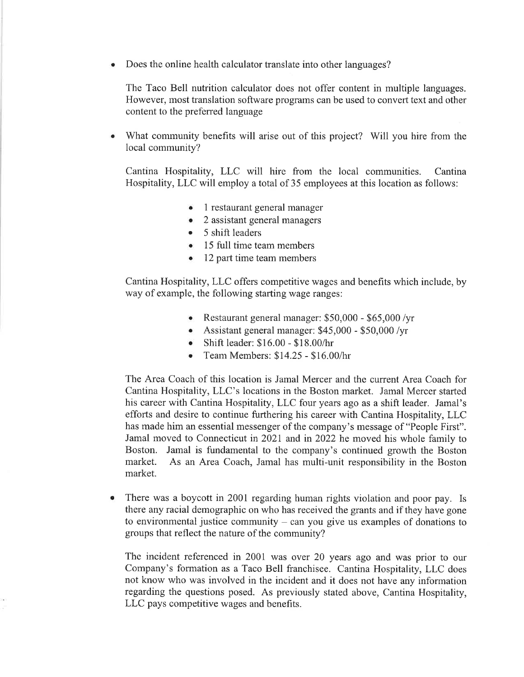a Does the online health calculator translate into other languages?

The Taco Bell nutrition calculator does not offer content in multiple languages. However, most translation software programs can be used to convert text and other content to the preferred language

What community benefits will arise out of this project? Will you hire from the local community?

Cantina Hospitality, LLC will hire from the local communities. Cantina Hospitality,LLC will employ a total of 35 employees at this location as follows:

- 1 restaurant general manager
- o <sup>2</sup>assistant general managers
- 5 shift leaders
- o 15 full time team members
- 12 part time team members

Cantina Hospitality, LLC offers competitive wages and benefits which include, by way of example, the following starting wage ranges:

- o Restaurant general manager: \$50,000 \$65,000 /yr
- o Assistant general manager: \$45,000 \$50,000 /yr
- o Shift leader: \$16.00 \$18.00/hr
- o Team Members: 514.25 \$16.00/hr

The Area Coach of this location is Jamal Mercer and the current Area Coach for Cantina Hospitality, LLC's locations in the Boston market. Jamal Mercer started his career with Cantina Hospitality, LLC four years ago as a shift leader. Jamal's efforts and desire to continue furthering his career with Cantina Hospitality, LLC has made him an essential messenger of the company's message of "People First". Jamal moved to Connecticut in 202L and in 2022 he moved his whole family to Boston. Jamal is fundamental to the company's continued growth the Boston market. As an Area Coach, Jamal has multi-unit responsibility in the Boston market.

 $\bullet$ There was a boycott in 2001 regarding human rights violation and poor pay. Is there any racial demographic on who has received the grants and if they have gone to environmental justice community  $-$  can you give us examples of donations to groups that reflect the nature of the community?

The incident referenced in 2001 was over 20 years ago and was prior to our Company's formation as a Taco Bell franchisee. Cantina Hospitality, LLC does not know who was involved in the incident and it does not have any information regarding the questions posed. As previously stated above, Cantina Hospitality, LLC pays competitive wages and benefits.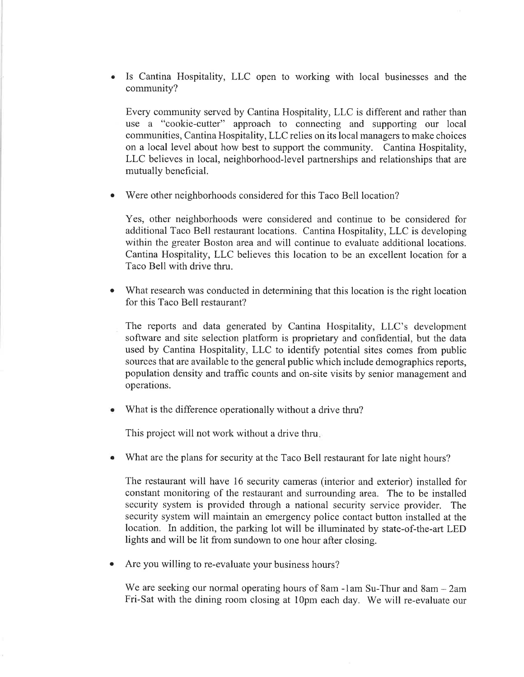Is Cantina Hospitality, LLC open to working with local businesses and the community? a

Every community served by Cantina Hospitality,LLC is different and rather than use a "cookie-cutter" approach to connecting and supporting our local communities, Cantina Hospitality,LLC relies on its local managers to make choices on a local level about how best to support the community. Cantina Hospitality, LLC believes in local, neighborhood-level partnerships and relationships that are mutually beneficial.

Were other neighborhoods considered for this Taco Bell location? a

Yes, other neighborhoods were considered and continue to be considered for additional Taco Bell restaurant locations. Cantina Hospitality, LLC is developing within the greater Boston area and will continue to evaluate additional locations. Cantina Hospitality, LLC believes this location to be an excellent location for <sup>a</sup> Taco Bell with drive thru.

- What research was conducted in determining that this location is the right location for this Taco Bell restaurant? o
	- The reports and data generated by Cantina Hospitality, LLC's development software and site selection platform is proprietary and confidential, but the data used by Cantina Hospitality, LLC to identify potential sites comes from public sources that are available to the general public which include demographics reports, population density and traffic counts and on-site visits by senior management and operations.
- What is the difference operationally without a drive thru?

This project will not work without a drive thru

What are the plans for security at the Taco Bell restaurant for late night hours? o

The restaurant will have 16 security cameras (interior and exterior) installed for constant monitoring of the restaurant and surrounding area. The to be installed security system is provided through a national security service provider. The security system will maintain an emergency police contact button installed at the location. In addition, the parking lot will be illuminated by state-of-the-art LED lights and will be lit from sundown to one hour after closing.

Are you willing to re-evaluate your business hours? a

We are seeking our normal operating hours of 8am -1am Su-Thur and 8am - 2am Fri-Sat with the dining room closing at 10pm each day. We will re-evaluate our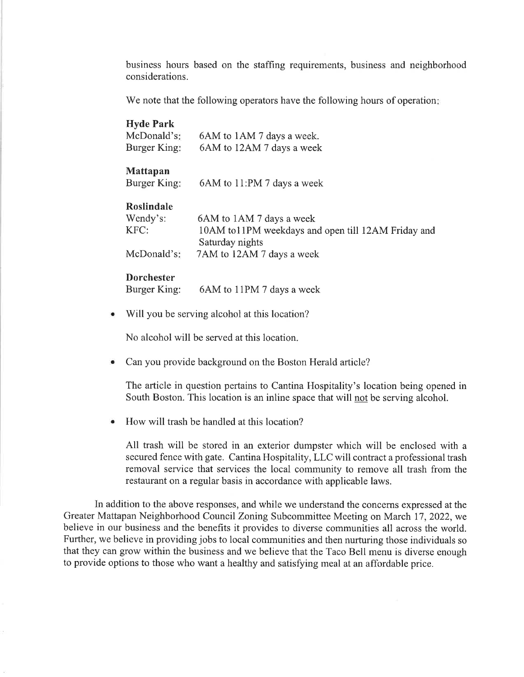business hours based on the staffing requirements, business and neighborhood considerations.

We note that the following operators have the following hours of operation.

| <b>Hyde Park</b><br>McDonald's:<br>Burger King: | 6AM to 1AM 7 days a week.<br>6AM to 12AM 7 days a week |
|-------------------------------------------------|--------------------------------------------------------|
| <b>Mattapan</b><br>Burger King:                 | 6AM to 11:PM 7 days a week                             |
| Roslindale                                      |                                                        |
| Wendy's:                                        | 6AM to 1AM 7 days a week                               |
| KFC:                                            | 10AM to11PM weekdays and open till 12AM Friday and     |
| McDonald's:                                     | Saturday nights<br>7AM to 12AM 7 days a week           |

## **Dorchester**

Burger King: 6AM to 1lPM 7 days a week

a Will you be serving alcohol at this location?

No alcohol will be served at this location.

a Can you provide background on the Boston Herald article?

The article in question pertains to Cantina Hospitality's location being opened in South Boston. This location is an inline space that will not be serving alcohol.

<sup>o</sup> How will trash be handled at this location?

All trash will be stored in an exterior dumpster which will be enclosed with <sup>a</sup> secured fence with gate. Cantina Hospitality, LLC will contract a professional trash removal service that services the local community to remove all trash from the restaurant on a regular basis in accordance with applicable laws.

In addition to the above responses, and while we understand the concerns expressed at the Greater Mattapan Neighborhood Council Zoning Subcommittee Meeting on March 17,2022, we believe in our business and the benefits it provides to diverse communities all across the world. Further, we believe in providing jobs to local communities and then nurturing those individuals so that they can grow within the business and we believe that the Taco Bell menu is diverse enough to provide options to those who want a healthy and satisfying meal at an affordable price.